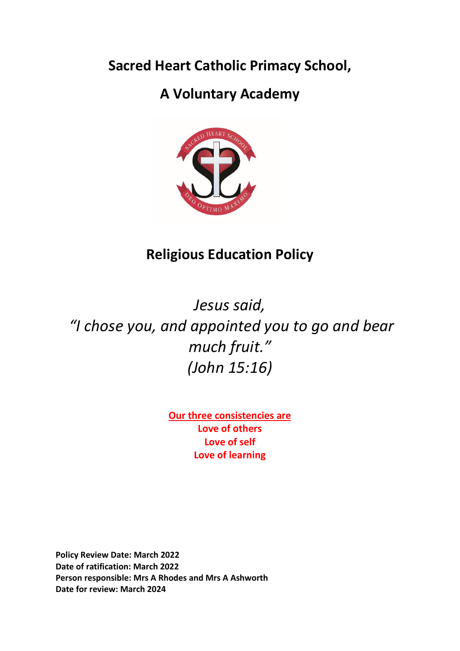**Sacred Heart Catholic Primacy School,**

# **A Voluntary Academy**



# **Religious Education Policy**

*Jesus said, "I chose you, and appointed you to go and bear much fruit." (John 15:16)*

> **Our three consistencies are Love of others Love of self Love of learning**

**Policy Review Date: March 2022 Date of ratification: March 2022 Person responsible: Mrs A Rhodes and Mrs A Ashworth Date for review: March 2024**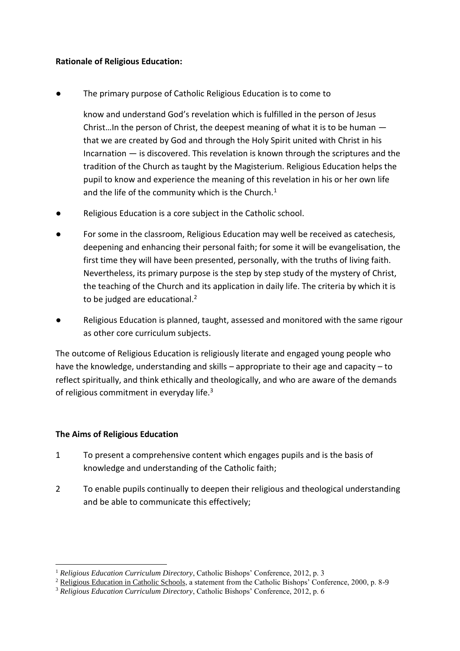### **Rationale of Religious Education:**

The primary purpose of Catholic Religious Education is to come to

know and understand God's revelation which is fulfilled in the person of Jesus Christ…In the person of Christ, the deepest meaning of what it is to be human that we are created by God and through the Holy Spirit united with Christ in his Incarnation — is discovered. This revelation is known through the scriptures and the tradition of the Church as taught by the Magisterium. Religious Education helps the pupil to know and experience the meaning of this revelation in his or her own life and the life of the community which is the Church. $1$ 

- Religious Education is a core subject in the Catholic school.
- For some in the classroom, Religious Education may well be received as catechesis, deepening and enhancing their personal faith; for some it will be evangelisation, the first time they will have been presented, personally, with the truths of living faith. Nevertheless, its primary purpose is the step by step study of the mystery of Christ, the teaching of the Church and its application in daily life. The criteria by which it is to be judged are educational.<sup>2</sup>
- Religious Education is planned, taught, assessed and monitored with the same rigour as other core curriculum subjects.

The outcome of Religious Education is religiously literate and engaged young people who have the knowledge, understanding and skills – appropriate to their age and capacity – to reflect spiritually, and think ethically and theologically, and who are aware of the demands of religious commitment in everyday life.<sup>3</sup>

## **The Aims of Religious Education**

 $\overline{a}$ 

- 1 To present a comprehensive content which engages pupils and is the basis of knowledge and understanding of the Catholic faith;
- 2 To enable pupils continually to deepen their religious and theological understanding and be able to communicate this effectively;

<sup>1</sup> *Religious Education Curriculum Directory*, Catholic Bishops' Conference, 2012, p. 3

<sup>&</sup>lt;sup>2</sup> Religious Education in Catholic Schools, a statement from the Catholic Bishops' Conference, 2000, p. 8-9

<sup>3</sup> *Religious Education Curriculum Directory*, Catholic Bishops' Conference, 2012, p. 6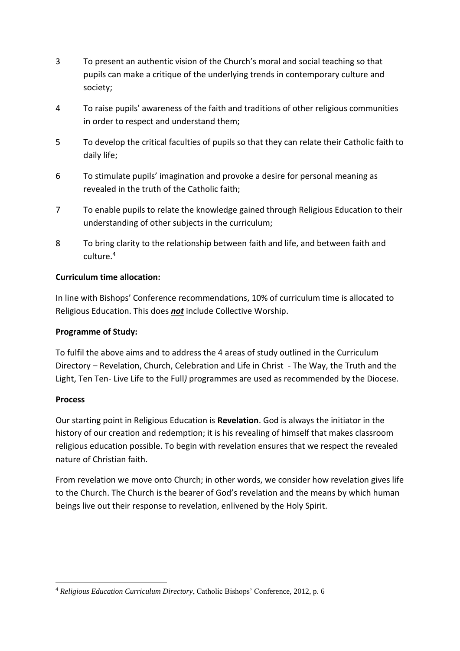- 3 To present an authentic vision of the Church's moral and social teaching so that pupils can make a critique of the underlying trends in contemporary culture and society;
- 4 To raise pupils' awareness of the faith and traditions of other religious communities in order to respect and understand them;
- 5 To develop the critical faculties of pupils so that they can relate their Catholic faith to daily life;
- 6 To stimulate pupils' imagination and provoke a desire for personal meaning as revealed in the truth of the Catholic faith;
- 7 To enable pupils to relate the knowledge gained through Religious Education to their understanding of other subjects in the curriculum;
- 8 To bring clarity to the relationship between faith and life, and between faith and culture.<sup>4</sup>

# **Curriculum time allocation:**

In line with Bishops' Conference recommendations, 10% of curriculum time is allocated to Religious Education. This does *not* include Collective Worship.

## **Programme of Study:**

To fulfil the above aims and to address the 4 areas of study outlined in the Curriculum Directory – Revelation, Church, Celebration and Life in Christ - The Way, the Truth and the Light, Ten Ten- Live Life to the Full*)* programmes are used as recommended by the Diocese.

## **Process**

Our starting point in Religious Education is **Revelation**. God is always the initiator in the history of our creation and redemption; it is his revealing of himself that makes classroom religious education possible. To begin with revelation ensures that we respect the revealed nature of Christian faith.

From revelation we move onto Church; in other words, we consider how revelation gives life to the Church. The Church is the bearer of God's revelation and the means by which human beings live out their response to revelation, enlivened by the Holy Spirit.

**<sup>.</sup>** <sup>4</sup> *Religious Education Curriculum Directory*, Catholic Bishops' Conference, 2012, p. 6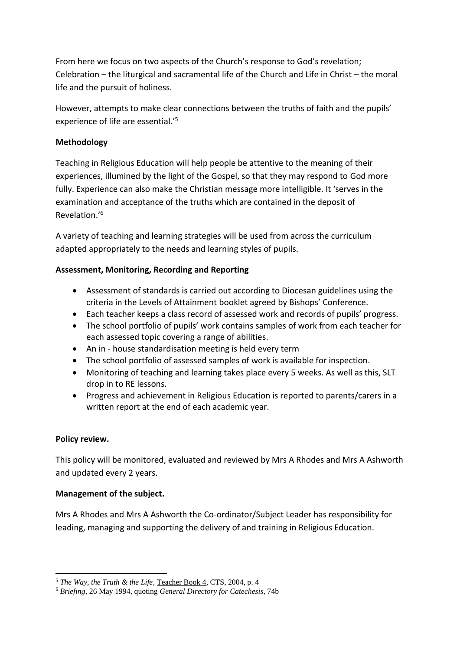From here we focus on two aspects of the Church's response to God's revelation; Celebration – the liturgical and sacramental life of the Church and Life in Christ – the moral life and the pursuit of holiness.

However, attempts to make clear connections between the truths of faith and the pupils' experience of life are essential.'<sup>5</sup>

## **Methodology**

Teaching in Religious Education will help people be attentive to the meaning of their experiences, illumined by the light of the Gospel, so that they may respond to God more fully. Experience can also make the Christian message more intelligible. It 'serves in the examination and acceptance of the truths which are contained in the deposit of Revelation.'<sup>6</sup>

A variety of teaching and learning strategies will be used from across the curriculum adapted appropriately to the needs and learning styles of pupils.

# **Assessment, Monitoring, Recording and Reporting**

- Assessment of standards is carried out according to Diocesan guidelines using the criteria in the Levels of Attainment booklet agreed by Bishops' Conference.
- Each teacher keeps a class record of assessed work and records of pupils' progress.
- The school portfolio of pupils' work contains samples of work from each teacher for each assessed topic covering a range of abilities.
- An in house standardisation meeting is held every term
- The school portfolio of assessed samples of work is available for inspection.
- Monitoring of teaching and learning takes place every 5 weeks. As well as this, SLT drop in to RE lessons.
- Progress and achievement in Religious Education is reported to parents/carers in a written report at the end of each academic year.

## **Policy review.**

1

This policy will be monitored, evaluated and reviewed by Mrs A Rhodes and Mrs A Ashworth and updated every 2 years.

## **Management of the subject.**

Mrs A Rhodes and Mrs A Ashworth the Co-ordinator/Subject Leader has responsibility for leading, managing and supporting the delivery of and training in Religious Education.

<sup>5</sup> *The Way, the Truth & the Life*, Teacher Book 4, CTS, 2004, p. 4

<sup>6</sup> *Briefing*, 26 May 1994, quoting *General Directory for Catechesis*, 74b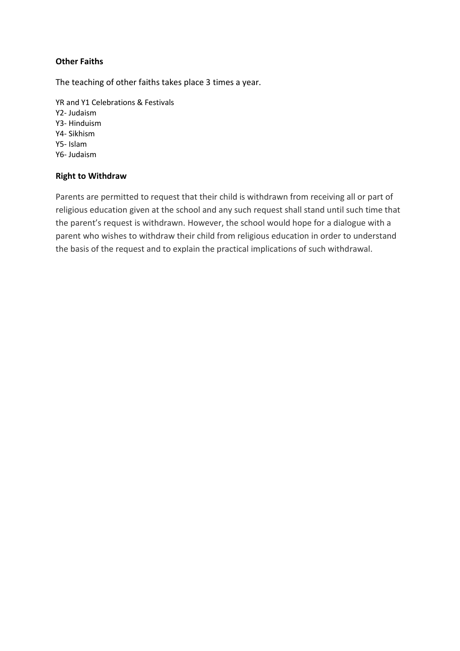## **Other Faiths**

The teaching of other faiths takes place 3 times a year.

YR and Y1 Celebrations & Festivals Y2- Judaism Y3- Hinduism Y4- Sikhism Y5- Islam Y6- Judaism

### **Right to Withdraw**

Parents are permitted to request that their child is withdrawn from receiving all or part of religious education given at the school and any such request shall stand until such time that the parent's request is withdrawn. However, the school would hope for a dialogue with a parent who wishes to withdraw their child from religious education in order to understand the basis of the request and to explain the practical implications of such withdrawal.